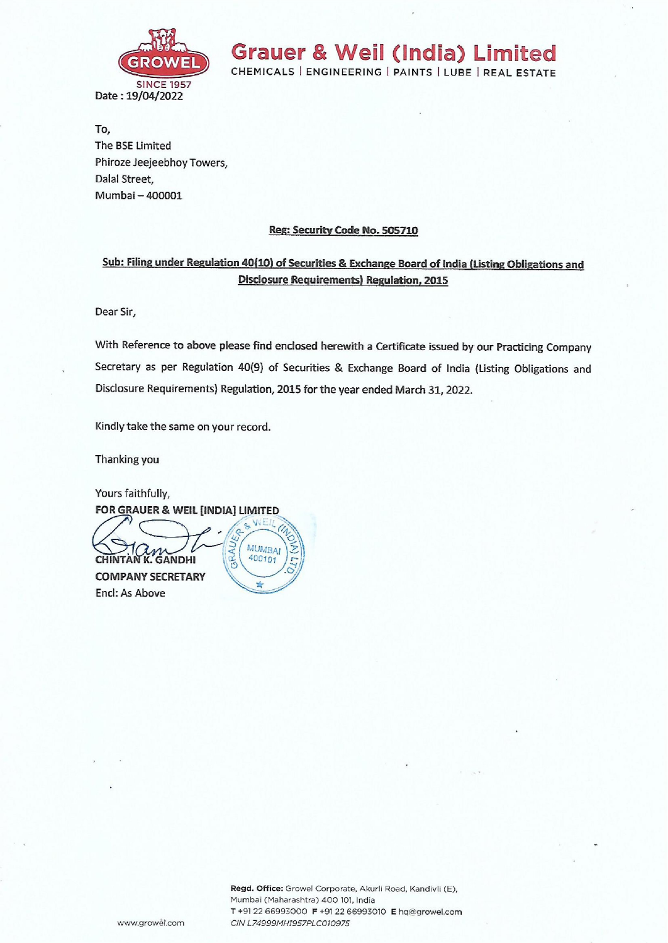

Grauer & Weil (India) Limited

CHEMICALS | ENGINEERING | PAINTS | LUBE | REAL ESTATE

To, The BSE Limited Phiroze Jeejeebhoy Towers, Dalal Street, Mumbai — 400001

## Reg: Security Code No. 505710

## Sub: Filing under Regulation 40(10) of Securities & Exchange Board of India (Listing Obligations and Disclosure Requirements) Regulation, 2015

Dear Sir,

With Reference to above please find enclosed herewith a Certificate issued by our Practicing Company Secretary as per Regulation 40(9) of Securities & Exchange Board of India {Listing Obligations and Disclosure Requirements) Regulation, 2015 for the year ended March 31, 2022.

Kindly take the same on your record.

Thanking you

Yours faithfully, FOR GRAUER & WEIL [INDIA] LIMITED.

 $\sum_{\text{CHINTAN K. GANDHI}} \sum_{\substack{\text{K} \mid MUMBA_1}}$  $COMPANY$  SECRETARY Encl: As Above